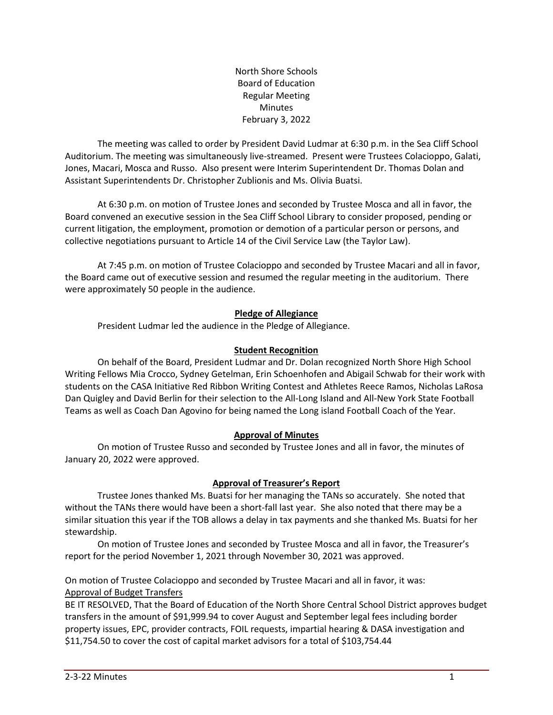North Shore Schools Board of Education Regular Meeting Minutes February 3, 2022

The meeting was called to order by President David Ludmar at 6:30 p.m. in the Sea Cliff School Auditorium. The meeting was simultaneously live-streamed. Present were Trustees Colacioppo, Galati, Jones, Macari, Mosca and Russo. Also present were Interim Superintendent Dr. Thomas Dolan and Assistant Superintendents Dr. Christopher Zublionis and Ms. Olivia Buatsi.

At 6:30 p.m. on motion of Trustee Jones and seconded by Trustee Mosca and all in favor, the Board convened an executive session in the Sea Cliff School Library to consider proposed, pending or current litigation, the employment, promotion or demotion of a particular person or persons, and collective negotiations pursuant to Article 14 of the Civil Service Law (the Taylor Law).

At 7:45 p.m. on motion of Trustee Colacioppo and seconded by Trustee Macari and all in favor, the Board came out of executive session and resumed the regular meeting in the auditorium. There were approximately 50 people in the audience.

### **Pledge of Allegiance**

President Ludmar led the audience in the Pledge of Allegiance.

### **Student Recognition**

On behalf of the Board, President Ludmar and Dr. Dolan recognized North Shore High School Writing Fellows Mia Crocco, Sydney Getelman, Erin Schoenhofen and Abigail Schwab for their work with students on the CASA Initiative Red Ribbon Writing Contest and Athletes Reece Ramos, Nicholas LaRosa Dan Quigley and David Berlin for their selection to the All-Long Island and All-New York State Football Teams as well as Coach Dan Agovino for being named the Long island Football Coach of the Year.

# **Approval of Minutes**

On motion of Trustee Russo and seconded by Trustee Jones and all in favor, the minutes of January 20, 2022 were approved.

#### **Approval of Treasurer's Report**

Trustee Jones thanked Ms. Buatsi for her managing the TANs so accurately. She noted that without the TANs there would have been a short-fall last year. She also noted that there may be a similar situation this year if the TOB allows a delay in tax payments and she thanked Ms. Buatsi for her stewardship.

On motion of Trustee Jones and seconded by Trustee Mosca and all in favor, the Treasurer's report for the period November 1, 2021 through November 30, 2021 was approved.

On motion of Trustee Colacioppo and seconded by Trustee Macari and all in favor, it was: Approval of Budget Transfers

BE IT RESOLVED, That the Board of Education of the North Shore Central School District approves budget transfers in the amount of \$91,999.94 to cover August and September legal fees including border property issues, EPC, provider contracts, FOIL requests, impartial hearing & DASA investigation and \$11,754.50 to cover the cost of capital market advisors for a total of \$103,754.44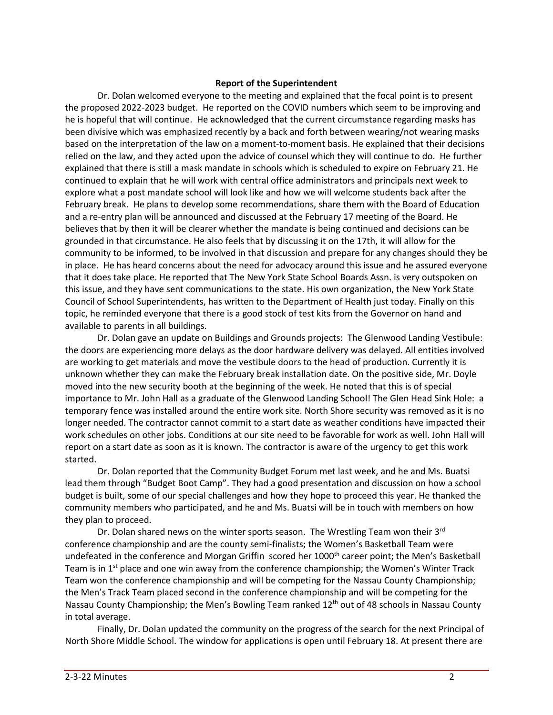#### **Report of the Superintendent**

Dr. Dolan welcomed everyone to the meeting and explained that the focal point is to present the proposed 2022-2023 budget. He reported on the COVID numbers which seem to be improving and he is hopeful that will continue. He acknowledged that the current circumstance regarding masks has been divisive which was emphasized recently by a back and forth between wearing/not wearing masks based on the interpretation of the law on a moment-to-moment basis. He explained that their decisions relied on the law, and they acted upon the advice of counsel which they will continue to do. He further explained that there is still a mask mandate in schools which is scheduled to expire on February 21. He continued to explain that he will work with central office administrators and principals next week to explore what a post mandate school will look like and how we will welcome students back after the February break. He plans to develop some recommendations, share them with the Board of Education and a re-entry plan will be announced and discussed at the February 17 meeting of the Board. He believes that by then it will be clearer whether the mandate is being continued and decisions can be grounded in that circumstance. He also feels that by discussing it on the 17th, it will allow for the community to be informed, to be involved in that discussion and prepare for any changes should they be in place. He has heard concerns about the need for advocacy around this issue and he assured everyone that it does take place. He reported that The New York State School Boards Assn. is very outspoken on this issue, and they have sent communications to the state. His own organization, the New York State Council of School Superintendents, has written to the Department of Health just today. Finally on this topic, he reminded everyone that there is a good stock of test kits from the Governor on hand and available to parents in all buildings.

Dr. Dolan gave an update on Buildings and Grounds projects: The Glenwood Landing Vestibule: the doors are experiencing more delays as the door hardware delivery was delayed. All entities involved are working to get materials and move the vestibule doors to the head of production. Currently it is unknown whether they can make the February break installation date. On the positive side, Mr. Doyle moved into the new security booth at the beginning of the week. He noted that this is of special importance to Mr. John Hall as a graduate of the Glenwood Landing School! The Glen Head Sink Hole: a temporary fence was installed around the entire work site. North Shore security was removed as it is no longer needed. The contractor cannot commit to a start date as weather conditions have impacted their work schedules on other jobs. Conditions at our site need to be favorable for work as well. John Hall will report on a start date as soon as it is known. The contractor is aware of the urgency to get this work started.

Dr. Dolan reported that the Community Budget Forum met last week, and he and Ms. Buatsi lead them through "Budget Boot Camp". They had a good presentation and discussion on how a school budget is built, some of our special challenges and how they hope to proceed this year. He thanked the community members who participated, and he and Ms. Buatsi will be in touch with members on how they plan to proceed.

Dr. Dolan shared news on the winter sports season. The Wrestling Team won their 3<sup>rd</sup> conference championship and are the county semi-finalists; the Women's Basketball Team were undefeated in the conference and Morgan Griffin scored her 1000<sup>th</sup> career point; the Men's Basketball Team is in 1<sup>st</sup> place and one win away from the conference championship; the Women's Winter Track Team won the conference championship and will be competing for the Nassau County Championship; the Men's Track Team placed second in the conference championship and will be competing for the Nassau County Championship; the Men's Bowling Team ranked 12<sup>th</sup> out of 48 schools in Nassau County in total average.

Finally, Dr. Dolan updated the community on the progress of the search for the next Principal of North Shore Middle School. The window for applications is open until February 18. At present there are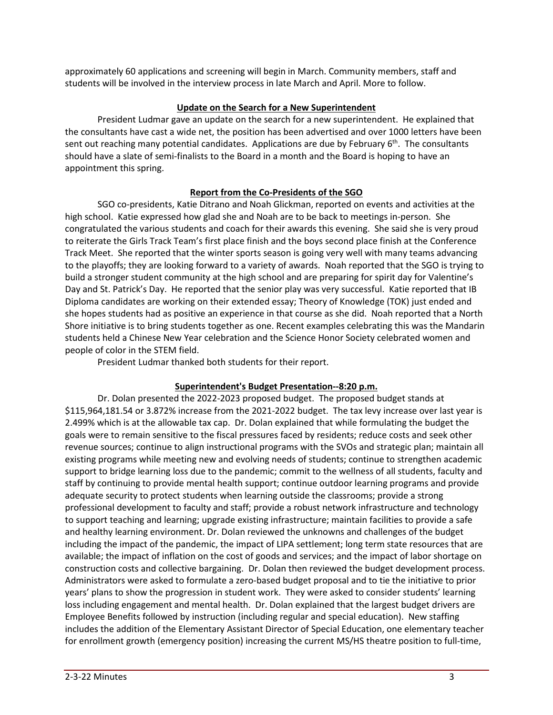approximately 60 applications and screening will begin in March. Community members, staff and students will be involved in the interview process in late March and April. More to follow.

#### **Update on the Search for a New Superintendent**

President Ludmar gave an update on the search for a new superintendent. He explained that the consultants have cast a wide net, the position has been advertised and over 1000 letters have been sent out reaching many potential candidates. Applications are due by February 6<sup>th</sup>. The consultants should have a slate of semi-finalists to the Board in a month and the Board is hoping to have an appointment this spring.

# **Report from the Co-Presidents of the SGO**

SGO co-presidents, Katie Ditrano and Noah Glickman, reported on events and activities at the high school. Katie expressed how glad she and Noah are to be back to meetings in-person. She congratulated the various students and coach for their awards this evening. She said she is very proud to reiterate the Girls Track Team's first place finish and the boys second place finish at the Conference Track Meet. She reported that the winter sports season is going very well with many teams advancing to the playoffs; they are looking forward to a variety of awards. Noah reported that the SGO is trying to build a stronger student community at the high school and are preparing for spirit day for Valentine's Day and St. Patrick's Day. He reported that the senior play was very successful. Katie reported that IB Diploma candidates are working on their extended essay; Theory of Knowledge (TOK) just ended and she hopes students had as positive an experience in that course as she did. Noah reported that a North Shore initiative is to bring students together as one. Recent examples celebrating this was the Mandarin students held a Chinese New Year celebration and the Science Honor Society celebrated women and people of color in the STEM field.

President Ludmar thanked both students for their report.

# **Superintendent's Budget Presentation--8:20 p.m.**

Dr. Dolan presented the 2022-2023 proposed budget. The proposed budget stands at \$115,964,181.54 or 3.872% increase from the 2021-2022 budget. The tax levy increase over last year is 2.499% which is at the allowable tax cap. Dr. Dolan explained that while formulating the budget the goals were to remain sensitive to the fiscal pressures faced by residents; reduce costs and seek other revenue sources; continue to align instructional programs with the SVOs and strategic plan; maintain all existing programs while meeting new and evolving needs of students; continue to strengthen academic support to bridge learning loss due to the pandemic; commit to the wellness of all students, faculty and staff by continuing to provide mental health support; continue outdoor learning programs and provide adequate security to protect students when learning outside the classrooms; provide a strong professional development to faculty and staff; provide a robust network infrastructure and technology to support teaching and learning; upgrade existing infrastructure; maintain facilities to provide a safe and healthy learning environment. Dr. Dolan reviewed the unknowns and challenges of the budget including the impact of the pandemic, the impact of LIPA settlement; long term state resources that are available; the impact of inflation on the cost of goods and services; and the impact of labor shortage on construction costs and collective bargaining. Dr. Dolan then reviewed the budget development process. Administrators were asked to formulate a zero-based budget proposal and to tie the initiative to prior years' plans to show the progression in student work. They were asked to consider students' learning loss including engagement and mental health. Dr. Dolan explained that the largest budget drivers are Employee Benefits followed by instruction (including regular and special education). New staffing includes the addition of the Elementary Assistant Director of Special Education, one elementary teacher for enrollment growth (emergency position) increasing the current MS/HS theatre position to full-time,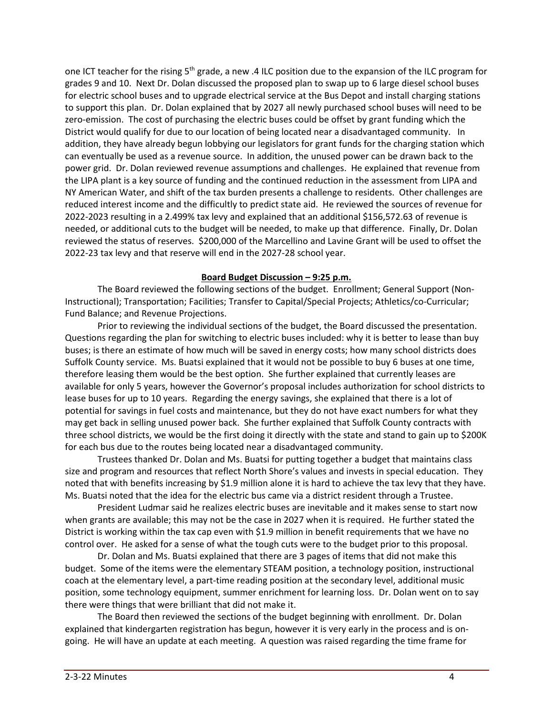one ICT teacher for the rising 5<sup>th</sup> grade, a new .4 ILC position due to the expansion of the ILC program for grades 9 and 10. Next Dr. Dolan discussed the proposed plan to swap up to 6 large diesel school buses for electric school buses and to upgrade electrical service at the Bus Depot and install charging stations to support this plan. Dr. Dolan explained that by 2027 all newly purchased school buses will need to be zero-emission. The cost of purchasing the electric buses could be offset by grant funding which the District would qualify for due to our location of being located near a disadvantaged community. In addition, they have already begun lobbying our legislators for grant funds for the charging station which can eventually be used as a revenue source. In addition, the unused power can be drawn back to the power grid. Dr. Dolan reviewed revenue assumptions and challenges. He explained that revenue from the LIPA plant is a key source of funding and the continued reduction in the assessment from LIPA and NY American Water, and shift of the tax burden presents a challenge to residents. Other challenges are reduced interest income and the difficultly to predict state aid. He reviewed the sources of revenue for 2022-2023 resulting in a 2.499% tax levy and explained that an additional \$156,572.63 of revenue is needed, or additional cuts to the budget will be needed, to make up that difference. Finally, Dr. Dolan reviewed the status of reserves. \$200,000 of the Marcellino and Lavine Grant will be used to offset the 2022-23 tax levy and that reserve will end in the 2027-28 school year.

#### **Board Budget Discussion – 9:25 p.m.**

The Board reviewed the following sections of the budget. Enrollment; General Support (Non-Instructional); Transportation; Facilities; Transfer to Capital/Special Projects; Athletics/co-Curricular; Fund Balance; and Revenue Projections.

Prior to reviewing the individual sections of the budget, the Board discussed the presentation. Questions regarding the plan for switching to electric buses included: why it is better to lease than buy buses; is there an estimate of how much will be saved in energy costs; how many school districts does Suffolk County service. Ms. Buatsi explained that it would not be possible to buy 6 buses at one time, therefore leasing them would be the best option. She further explained that currently leases are available for only 5 years, however the Governor's proposal includes authorization for school districts to lease buses for up to 10 years. Regarding the energy savings, she explained that there is a lot of potential for savings in fuel costs and maintenance, but they do not have exact numbers for what they may get back in selling unused power back. She further explained that Suffolk County contracts with three school districts, we would be the first doing it directly with the state and stand to gain up to \$200K for each bus due to the routes being located near a disadvantaged community.

Trustees thanked Dr. Dolan and Ms. Buatsi for putting together a budget that maintains class size and program and resources that reflect North Shore's values and invests in special education. They noted that with benefits increasing by \$1.9 million alone it is hard to achieve the tax levy that they have. Ms. Buatsi noted that the idea for the electric bus came via a district resident through a Trustee.

President Ludmar said he realizes electric buses are inevitable and it makes sense to start now when grants are available; this may not be the case in 2027 when it is required. He further stated the District is working within the tax cap even with \$1.9 million in benefit requirements that we have no control over. He asked for a sense of what the tough cuts were to the budget prior to this proposal.

Dr. Dolan and Ms. Buatsi explained that there are 3 pages of items that did not make this budget. Some of the items were the elementary STEAM position, a technology position, instructional coach at the elementary level, a part-time reading position at the secondary level, additional music position, some technology equipment, summer enrichment for learning loss. Dr. Dolan went on to say there were things that were brilliant that did not make it.

The Board then reviewed the sections of the budget beginning with enrollment. Dr. Dolan explained that kindergarten registration has begun, however it is very early in the process and is ongoing. He will have an update at each meeting. A question was raised regarding the time frame for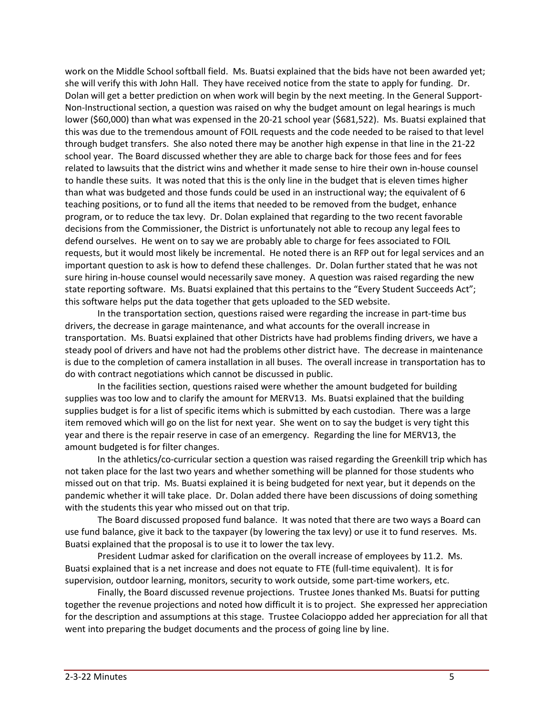work on the Middle School softball field. Ms. Buatsi explained that the bids have not been awarded yet; she will verify this with John Hall. They have received notice from the state to apply for funding. Dr. Dolan will get a better prediction on when work will begin by the next meeting. In the General Support-Non-Instructional section, a question was raised on why the budget amount on legal hearings is much lower (\$60,000) than what was expensed in the 20-21 school year (\$681,522). Ms. Buatsi explained that this was due to the tremendous amount of FOIL requests and the code needed to be raised to that level through budget transfers. She also noted there may be another high expense in that line in the 21-22 school year. The Board discussed whether they are able to charge back for those fees and for fees related to lawsuits that the district wins and whether it made sense to hire their own in-house counsel to handle these suits. It was noted that this is the only line in the budget that is eleven times higher than what was budgeted and those funds could be used in an instructional way; the equivalent of 6 teaching positions, or to fund all the items that needed to be removed from the budget, enhance program, or to reduce the tax levy. Dr. Dolan explained that regarding to the two recent favorable decisions from the Commissioner, the District is unfortunately not able to recoup any legal fees to defend ourselves. He went on to say we are probably able to charge for fees associated to FOIL requests, but it would most likely be incremental. He noted there is an RFP out for legal services and an important question to ask is how to defend these challenges. Dr. Dolan further stated that he was not sure hiring in-house counsel would necessarily save money. A question was raised regarding the new state reporting software. Ms. Buatsi explained that this pertains to the "Every Student Succeeds Act"; this software helps put the data together that gets uploaded to the SED website.

In the transportation section, questions raised were regarding the increase in part-time bus drivers, the decrease in garage maintenance, and what accounts for the overall increase in transportation. Ms. Buatsi explained that other Districts have had problems finding drivers, we have a steady pool of drivers and have not had the problems other district have. The decrease in maintenance is due to the completion of camera installation in all buses. The overall increase in transportation has to do with contract negotiations which cannot be discussed in public.

In the facilities section, questions raised were whether the amount budgeted for building supplies was too low and to clarify the amount for MERV13. Ms. Buatsi explained that the building supplies budget is for a list of specific items which is submitted by each custodian. There was a large item removed which will go on the list for next year. She went on to say the budget is very tight this year and there is the repair reserve in case of an emergency. Regarding the line for MERV13, the amount budgeted is for filter changes.

In the athletics/co-curricular section a question was raised regarding the Greenkill trip which has not taken place for the last two years and whether something will be planned for those students who missed out on that trip. Ms. Buatsi explained it is being budgeted for next year, but it depends on the pandemic whether it will take place. Dr. Dolan added there have been discussions of doing something with the students this year who missed out on that trip.

The Board discussed proposed fund balance. It was noted that there are two ways a Board can use fund balance, give it back to the taxpayer (by lowering the tax levy) or use it to fund reserves. Ms. Buatsi explained that the proposal is to use it to lower the tax levy.

President Ludmar asked for clarification on the overall increase of employees by 11.2. Ms. Buatsi explained that is a net increase and does not equate to FTE (full-time equivalent). It is for supervision, outdoor learning, monitors, security to work outside, some part-time workers, etc.

Finally, the Board discussed revenue projections. Trustee Jones thanked Ms. Buatsi for putting together the revenue projections and noted how difficult it is to project. She expressed her appreciation for the description and assumptions at this stage. Trustee Colacioppo added her appreciation for all that went into preparing the budget documents and the process of going line by line.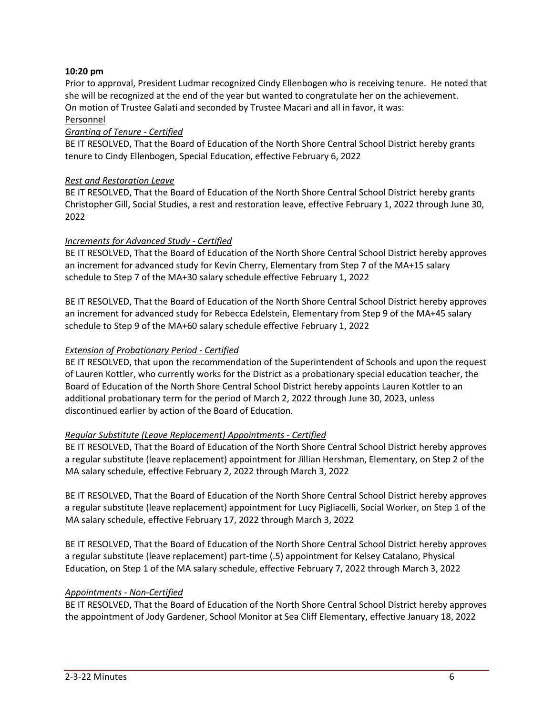### **10:20 pm**

Prior to approval, President Ludmar recognized Cindy Ellenbogen who is receiving tenure. He noted that she will be recognized at the end of the year but wanted to congratulate her on the achievement. On motion of Trustee Galati and seconded by Trustee Macari and all in favor, it was: Personnel

# *Granting of Tenure - Certified*

BE IT RESOLVED, That the Board of Education of the North Shore Central School District hereby grants tenure to Cindy Ellenbogen, Special Education, effective February 6, 2022

#### *Rest and Restoration Leave*

BE IT RESOLVED, That the Board of Education of the North Shore Central School District hereby grants Christopher Gill, Social Studies, a rest and restoration leave, effective February 1, 2022 through June 30, 2022

### *Increments for Advanced Study - Certified*

BE IT RESOLVED, That the Board of Education of the North Shore Central School District hereby approves an increment for advanced study for Kevin Cherry, Elementary from Step 7 of the MA+15 salary schedule to Step 7 of the MA+30 salary schedule effective February 1, 2022

BE IT RESOLVED, That the Board of Education of the North Shore Central School District hereby approves an increment for advanced study for Rebecca Edelstein, Elementary from Step 9 of the MA+45 salary schedule to Step 9 of the MA+60 salary schedule effective February 1, 2022

### *Extension of Probationary Period - Certified*

BE IT RESOLVED, that upon the recommendation of the Superintendent of Schools and upon the request of Lauren Kottler, who currently works for the District as a probationary special education teacher, the Board of Education of the North Shore Central School District hereby appoints Lauren Kottler to an additional probationary term for the period of March 2, 2022 through June 30, 2023, unless discontinued earlier by action of the Board of Education.

# *Regular Substitute (Leave Replacement) Appointments - Certified*

BE IT RESOLVED, That the Board of Education of the North Shore Central School District hereby approves a regular substitute (leave replacement) appointment for Jillian Hershman, Elementary, on Step 2 of the MA salary schedule, effective February 2, 2022 through March 3, 2022

BE IT RESOLVED, That the Board of Education of the North Shore Central School District hereby approves a regular substitute (leave replacement) appointment for Lucy Pigliacelli, Social Worker, on Step 1 of the MA salary schedule, effective February 17, 2022 through March 3, 2022

BE IT RESOLVED, That the Board of Education of the North Shore Central School District hereby approves a regular substitute (leave replacement) part-time (.5) appointment for Kelsey Catalano, Physical Education, on Step 1 of the MA salary schedule, effective February 7, 2022 through March 3, 2022

#### *Appointments - Non-Certified*

BE IT RESOLVED, That the Board of Education of the North Shore Central School District hereby approves the appointment of Jody Gardener, School Monitor at Sea Cliff Elementary, effective January 18, 2022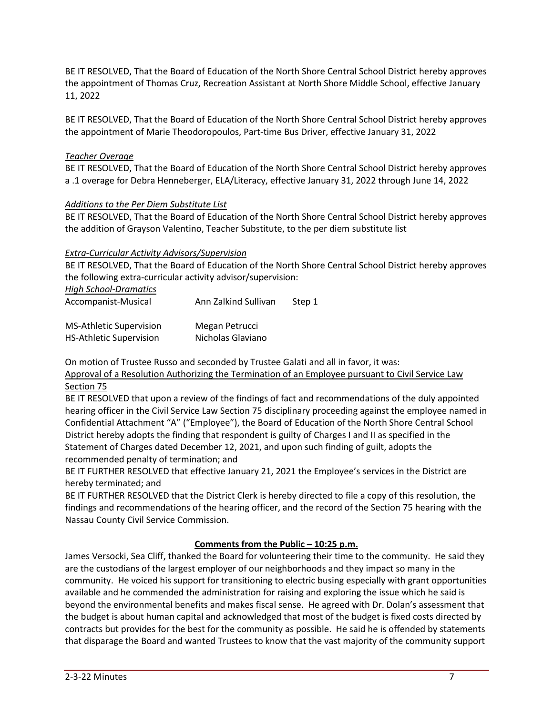BE IT RESOLVED, That the Board of Education of the North Shore Central School District hereby approves the appointment of Thomas Cruz, Recreation Assistant at North Shore Middle School, effective January 11, 2022

BE IT RESOLVED, That the Board of Education of the North Shore Central School District hereby approves the appointment of Marie Theodoropoulos, Part-time Bus Driver, effective January 31, 2022

### *Teacher Overage*

BE IT RESOLVED, That the Board of Education of the North Shore Central School District hereby approves a .1 overage for Debra Henneberger, ELA/Literacy, effective January 31, 2022 through June 14, 2022

### *Additions to the Per Diem Substitute List*

BE IT RESOLVED, That the Board of Education of the North Shore Central School District hereby approves the addition of Grayson Valentino, Teacher Substitute, to the per diem substitute list

### *Extra-Curricular Activity Advisors/Supervision*

BE IT RESOLVED, That the Board of Education of the North Shore Central School District hereby approves the following extra-curricular activity advisor/supervision:

*High School-Dramatics*

| Ann Zalkind Sullivan<br>Accompanist-Musical<br>Step 1 |  |
|-------------------------------------------------------|--|
|-------------------------------------------------------|--|

| <b>MS-Athletic Supervision</b> | Megan Petrucci    |
|--------------------------------|-------------------|
| <b>HS-Athletic Supervision</b> | Nicholas Glaviano |

On motion of Trustee Russo and seconded by Trustee Galati and all in favor, it was:

Approval of a Resolution Authorizing the Termination of an Employee pursuant to Civil Service Law Section 75

BE IT RESOLVED that upon a review of the findings of fact and recommendations of the duly appointed hearing officer in the Civil Service Law Section 75 disciplinary proceeding against the employee named in Confidential Attachment "A" ("Employee"), the Board of Education of the North Shore Central School District hereby adopts the finding that respondent is guilty of Charges I and II as specified in the Statement of Charges dated December 12, 2021, and upon such finding of guilt, adopts the recommended penalty of termination; and

BE IT FURTHER RESOLVED that effective January 21, 2021 the Employee's services in the District are hereby terminated; and

BE IT FURTHER RESOLVED that the District Clerk is hereby directed to file a copy of this resolution, the findings and recommendations of the hearing officer, and the record of the Section 75 hearing with the Nassau County Civil Service Commission.

# **Comments from the Public – 10:25 p.m.**

James Versocki, Sea Cliff, thanked the Board for volunteering their time to the community. He said they are the custodians of the largest employer of our neighborhoods and they impact so many in the community. He voiced his support for transitioning to electric busing especially with grant opportunities available and he commended the administration for raising and exploring the issue which he said is beyond the environmental benefits and makes fiscal sense. He agreed with Dr. Dolan's assessment that the budget is about human capital and acknowledged that most of the budget is fixed costs directed by contracts but provides for the best for the community as possible. He said he is offended by statements that disparage the Board and wanted Trustees to know that the vast majority of the community support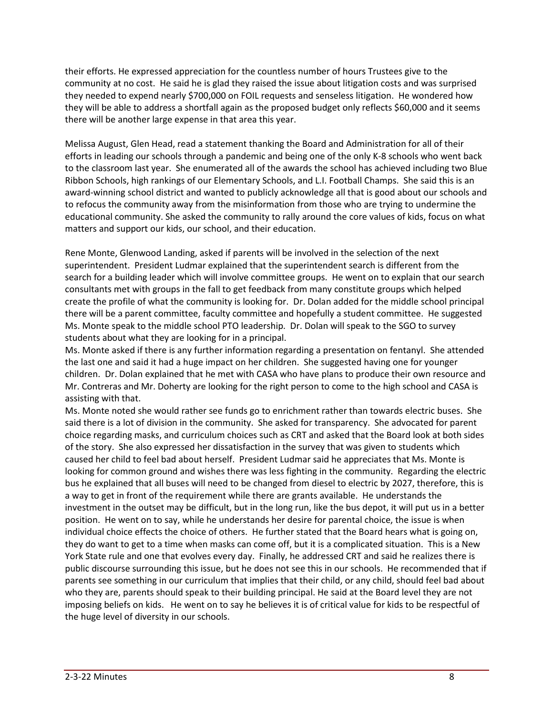their efforts. He expressed appreciation for the countless number of hours Trustees give to the community at no cost. He said he is glad they raised the issue about litigation costs and was surprised they needed to expend nearly \$700,000 on FOIL requests and senseless litigation. He wondered how they will be able to address a shortfall again as the proposed budget only reflects \$60,000 and it seems there will be another large expense in that area this year.

Melissa August, Glen Head, read a statement thanking the Board and Administration for all of their efforts in leading our schools through a pandemic and being one of the only K-8 schools who went back to the classroom last year. She enumerated all of the awards the school has achieved including two Blue Ribbon Schools, high rankings of our Elementary Schools, and L.I. Football Champs. She said this is an award-winning school district and wanted to publicly acknowledge all that is good about our schools and to refocus the community away from the misinformation from those who are trying to undermine the educational community. She asked the community to rally around the core values of kids, focus on what matters and support our kids, our school, and their education.

Rene Monte, Glenwood Landing, asked if parents will be involved in the selection of the next superintendent. President Ludmar explained that the superintendent search is different from the search for a building leader which will involve committee groups. He went on to explain that our search consultants met with groups in the fall to get feedback from many constitute groups which helped create the profile of what the community is looking for. Dr. Dolan added for the middle school principal there will be a parent committee, faculty committee and hopefully a student committee. He suggested Ms. Monte speak to the middle school PTO leadership. Dr. Dolan will speak to the SGO to survey students about what they are looking for in a principal.

Ms. Monte asked if there is any further information regarding a presentation on fentanyl. She attended the last one and said it had a huge impact on her children. She suggested having one for younger children. Dr. Dolan explained that he met with CASA who have plans to produce their own resource and Mr. Contreras and Mr. Doherty are looking for the right person to come to the high school and CASA is assisting with that.

Ms. Monte noted she would rather see funds go to enrichment rather than towards electric buses. She said there is a lot of division in the community. She asked for transparency. She advocated for parent choice regarding masks, and curriculum choices such as CRT and asked that the Board look at both sides of the story. She also expressed her dissatisfaction in the survey that was given to students which caused her child to feel bad about herself. President Ludmar said he appreciates that Ms. Monte is looking for common ground and wishes there was less fighting in the community. Regarding the electric bus he explained that all buses will need to be changed from diesel to electric by 2027, therefore, this is a way to get in front of the requirement while there are grants available. He understands the investment in the outset may be difficult, but in the long run, like the bus depot, it will put us in a better position. He went on to say, while he understands her desire for parental choice, the issue is when individual choice effects the choice of others. He further stated that the Board hears what is going on, they do want to get to a time when masks can come off, but it is a complicated situation. This is a New York State rule and one that evolves every day. Finally, he addressed CRT and said he realizes there is public discourse surrounding this issue, but he does not see this in our schools. He recommended that if parents see something in our curriculum that implies that their child, or any child, should feel bad about who they are, parents should speak to their building principal. He said at the Board level they are not imposing beliefs on kids. He went on to say he believes it is of critical value for kids to be respectful of the huge level of diversity in our schools.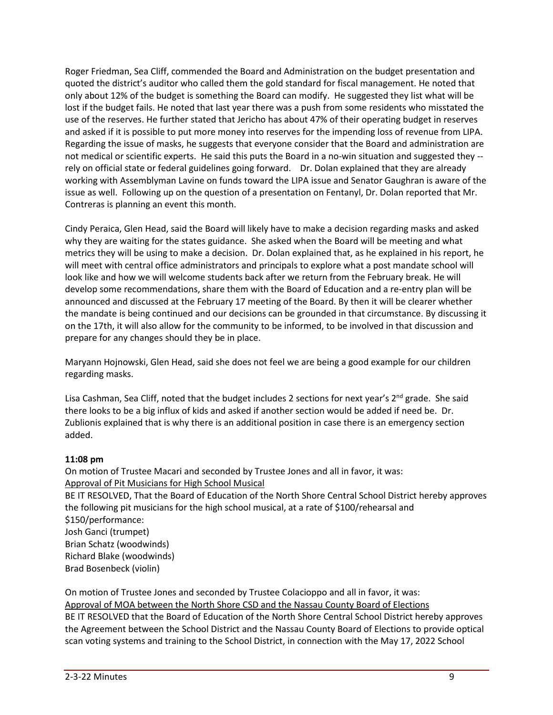Roger Friedman, Sea Cliff, commended the Board and Administration on the budget presentation and quoted the district's auditor who called them the gold standard for fiscal management. He noted that only about 12% of the budget is something the Board can modify. He suggested they list what will be lost if the budget fails. He noted that last year there was a push from some residents who misstated the use of the reserves. He further stated that Jericho has about 47% of their operating budget in reserves and asked if it is possible to put more money into reserves for the impending loss of revenue from LIPA. Regarding the issue of masks, he suggests that everyone consider that the Board and administration are not medical or scientific experts. He said this puts the Board in a no-win situation and suggested they - rely on official state or federal guidelines going forward. Dr. Dolan explained that they are already working with Assemblyman Lavine on funds toward the LIPA issue and Senator Gaughran is aware of the issue as well. Following up on the question of a presentation on Fentanyl, Dr. Dolan reported that Mr. Contreras is planning an event this month.

Cindy Peraica, Glen Head, said the Board will likely have to make a decision regarding masks and asked why they are waiting for the states guidance. She asked when the Board will be meeting and what metrics they will be using to make a decision. Dr. Dolan explained that, as he explained in his report, he will meet with central office administrators and principals to explore what a post mandate school will look like and how we will welcome students back after we return from the February break. He will develop some recommendations, share them with the Board of Education and a re-entry plan will be announced and discussed at the February 17 meeting of the Board. By then it will be clearer whether the mandate is being continued and our decisions can be grounded in that circumstance. By discussing it on the 17th, it will also allow for the community to be informed, to be involved in that discussion and prepare for any changes should they be in place.

Maryann Hojnowski, Glen Head, said she does not feel we are being a good example for our children regarding masks.

Lisa Cashman, Sea Cliff, noted that the budget includes 2 sections for next year's 2<sup>nd</sup> grade. She said there looks to be a big influx of kids and asked if another section would be added if need be. Dr. Zublionis explained that is why there is an additional position in case there is an emergency section added.

#### **11:08 pm**

On motion of Trustee Macari and seconded by Trustee Jones and all in favor, it was: Approval of Pit Musicians for High School Musical BE IT RESOLVED, That the Board of Education of the North Shore Central School District hereby approves the following pit musicians for the high school musical, at a rate of \$100/rehearsal and \$150/performance: Josh Ganci (trumpet) Brian Schatz (woodwinds) Richard Blake (woodwinds) Brad Bosenbeck (violin)

On motion of Trustee Jones and seconded by Trustee Colacioppo and all in favor, it was: Approval of MOA between the North Shore CSD and the Nassau County Board of Elections BE IT RESOLVED that the Board of Education of the North Shore Central School District hereby approves the Agreement between the School District and the Nassau County Board of Elections to provide optical scan voting systems and training to the School District, in connection with the May 17, 2022 School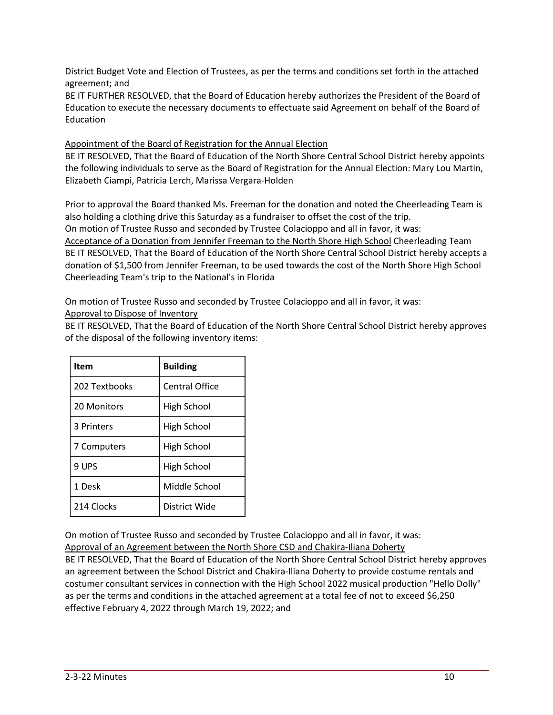District Budget Vote and Election of Trustees, as per the terms and conditions set forth in the attached agreement; and

BE IT FURTHER RESOLVED, that the Board of Education hereby authorizes the President of the Board of Education to execute the necessary documents to effectuate said Agreement on behalf of the Board of Education

Appointment of the Board of Registration for the Annual Election

BE IT RESOLVED, That the Board of Education of the North Shore Central School District hereby appoints the following individuals to serve as the Board of Registration for the Annual Election: Mary Lou Martin, Elizabeth Ciampi, Patricia Lerch, Marissa Vergara-Holden

Prior to approval the Board thanked Ms. Freeman for the donation and noted the Cheerleading Team is also holding a clothing drive this Saturday as a fundraiser to offset the cost of the trip. On motion of Trustee Russo and seconded by Trustee Colacioppo and all in favor, it was: Acceptance of a Donation from Jennifer Freeman to the North Shore High School Cheerleading Team BE IT RESOLVED, That the Board of Education of the North Shore Central School District hereby accepts a donation of \$1,500 from Jennifer Freeman, to be used towards the cost of the North Shore High School Cheerleading Team's trip to the National's in Florida

On motion of Trustee Russo and seconded by Trustee Colacioppo and all in favor, it was:

Approval to Dispose of Inventory

BE IT RESOLVED, That the Board of Education of the North Shore Central School District hereby approves of the disposal of the following inventory items:

| Item          | <b>Building</b> |
|---------------|-----------------|
| 202 Textbooks | Central Office  |
| 20 Monitors   | High School     |
| 3 Printers    | High School     |
| 7 Computers   | High School     |
| 9 UPS         | High School     |
| 1 Desk        | Middle School   |
| 214 Clocks    | District Wide   |

On motion of Trustee Russo and seconded by Trustee Colacioppo and all in favor, it was: Approval of an Agreement between the North Shore CSD and Chakira-Iliana Doherty BE IT RESOLVED, That the Board of Education of the North Shore Central School District hereby approves an agreement between the School District and Chakira-Iliana Doherty to provide costume rentals and costumer consultant services in connection with the High School 2022 musical production "Hello Dolly" as per the terms and conditions in the attached agreement at a total fee of not to exceed \$6,250 effective February 4, 2022 through March 19, 2022; and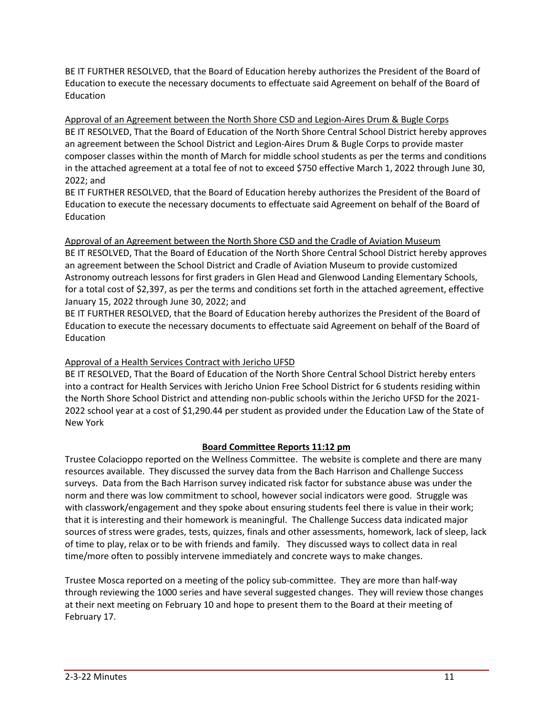BE IT FURTHER RESOLVED, that the Board of Education hereby authorizes the President of the Board of Education to execute the necessary documents to effectuate said Agreement on behalf of the Board of Education

Approval of an Agreement between the North Shore CSD and Legion-Aires Drum & Bugle Corps BE IT RESOLVED, That the Board of Education of the North Shore Central School District hereby approves an agreement between the School District and Legion-Aires Drum & Bugle Corps to provide master composer classes within the month of March for middle school students as per the terms and conditions in the attached agreement at a total fee of not to exceed \$750 effective March 1, 2022 through June 30, 2022; and

BE IT FURTHER RESOLVED, that the Board of Education hereby authorizes the President of the Board of Education to execute the necessary documents to effectuate said Agreement on behalf of the Board of Education

Approval of an Agreement between the North Shore CSD and the Cradle of Aviation Museum BE IT RESOLVED, That the Board of Education of the North Shore Central School District hereby approves an agreement between the School District and Cradle of Aviation Museum to provide customized Astronomy outreach lessons for first graders in Glen Head and Glenwood Landing Elementary Schools, for a total cost of \$2,397, as per the terms and conditions set forth in the attached agreement, effective January 15, 2022 through June 30, 2022; and

BE IT FURTHER RESOLVED, that the Board of Education hereby authorizes the President of the Board of Education to execute the necessary documents to effectuate said Agreement on behalf of the Board of Education

# Approval of a Health Services Contract with Jericho UFSD

BE IT RESOLVED, That the Board of Education of the North Shore Central School District hereby enters into a contract for Health Services with Jericho Union Free School District for 6 students residing within the North Shore School District and attending non-public schools within the Jericho UFSD for the 2021- 2022 school year at a cost of \$1,290.44 per student as provided under the Education Law of the State of New York

# **Board Committee Reports 11:12 pm**

Trustee Colacioppo reported on the Wellness Committee. The website is complete and there are many resources available. They discussed the survey data from the Bach Harrison and Challenge Success surveys. Data from the Bach Harrison survey indicated risk factor for substance abuse was under the norm and there was low commitment to school, however social indicators were good. Struggle was with classwork/engagement and they spoke about ensuring students feel there is value in their work; that it is interesting and their homework is meaningful. The Challenge Success data indicated major sources of stress were grades, tests, quizzes, finals and other assessments, homework, lack of sleep, lack of time to play, relax or to be with friends and family. They discussed ways to collect data in real time/more often to possibly intervene immediately and concrete ways to make changes.

Trustee Mosca reported on a meeting of the policy sub-committee. They are more than half-way through reviewing the 1000 series and have several suggested changes. They will review those changes at their next meeting on February 10 and hope to present them to the Board at their meeting of February 17.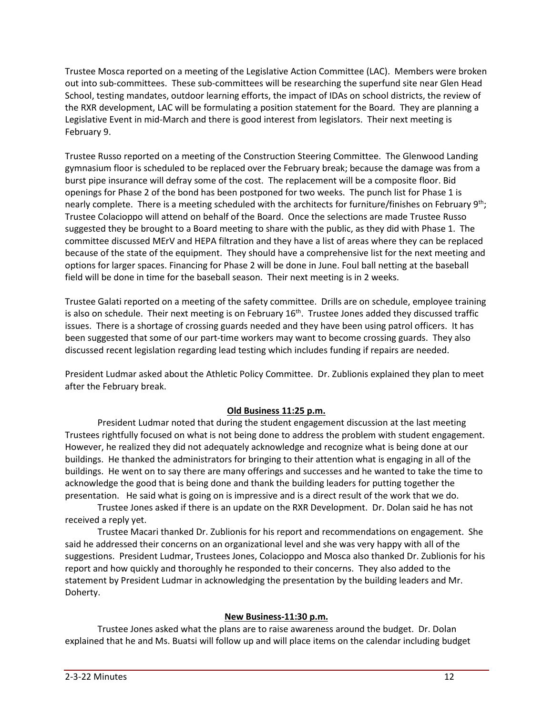Trustee Mosca reported on a meeting of the Legislative Action Committee (LAC). Members were broken out into sub-committees. These sub-committees will be researching the superfund site near Glen Head School, testing mandates, outdoor learning efforts, the impact of IDAs on school districts, the review of the RXR development, LAC will be formulating a position statement for the Board. They are planning a Legislative Event in mid-March and there is good interest from legislators. Their next meeting is February 9.

Trustee Russo reported on a meeting of the Construction Steering Committee. The Glenwood Landing gymnasium floor is scheduled to be replaced over the February break; because the damage was from a burst pipe insurance will defray some of the cost. The replacement will be a composite floor. Bid openings for Phase 2 of the bond has been postponed for two weeks. The punch list for Phase 1 is nearly complete. There is a meeting scheduled with the architects for furniture/finishes on February 9<sup>th</sup>; Trustee Colacioppo will attend on behalf of the Board. Once the selections are made Trustee Russo suggested they be brought to a Board meeting to share with the public, as they did with Phase 1. The committee discussed MErV and HEPA filtration and they have a list of areas where they can be replaced because of the state of the equipment. They should have a comprehensive list for the next meeting and options for larger spaces. Financing for Phase 2 will be done in June. Foul ball netting at the baseball field will be done in time for the baseball season. Their next meeting is in 2 weeks.

Trustee Galati reported on a meeting of the safety committee. Drills are on schedule, employee training is also on schedule. Their next meeting is on February 16<sup>th</sup>. Trustee Jones added they discussed traffic issues. There is a shortage of crossing guards needed and they have been using patrol officers. It has been suggested that some of our part-time workers may want to become crossing guards. They also discussed recent legislation regarding lead testing which includes funding if repairs are needed.

President Ludmar asked about the Athletic Policy Committee. Dr. Zublionis explained they plan to meet after the February break.

# **Old Business 11:25 p.m.**

President Ludmar noted that during the student engagement discussion at the last meeting Trustees rightfully focused on what is not being done to address the problem with student engagement. However, he realized they did not adequately acknowledge and recognize what is being done at our buildings. He thanked the administrators for bringing to their attention what is engaging in all of the buildings. He went on to say there are many offerings and successes and he wanted to take the time to acknowledge the good that is being done and thank the building leaders for putting together the presentation. He said what is going on is impressive and is a direct result of the work that we do.

Trustee Jones asked if there is an update on the RXR Development. Dr. Dolan said he has not received a reply yet.

Trustee Macari thanked Dr. Zublionis for his report and recommendations on engagement. She said he addressed their concerns on an organizational level and she was very happy with all of the suggestions. President Ludmar, Trustees Jones, Colacioppo and Mosca also thanked Dr. Zublionis for his report and how quickly and thoroughly he responded to their concerns. They also added to the statement by President Ludmar in acknowledging the presentation by the building leaders and Mr. Doherty.

# **New Business-11:30 p.m.**

Trustee Jones asked what the plans are to raise awareness around the budget. Dr. Dolan explained that he and Ms. Buatsi will follow up and will place items on the calendar including budget